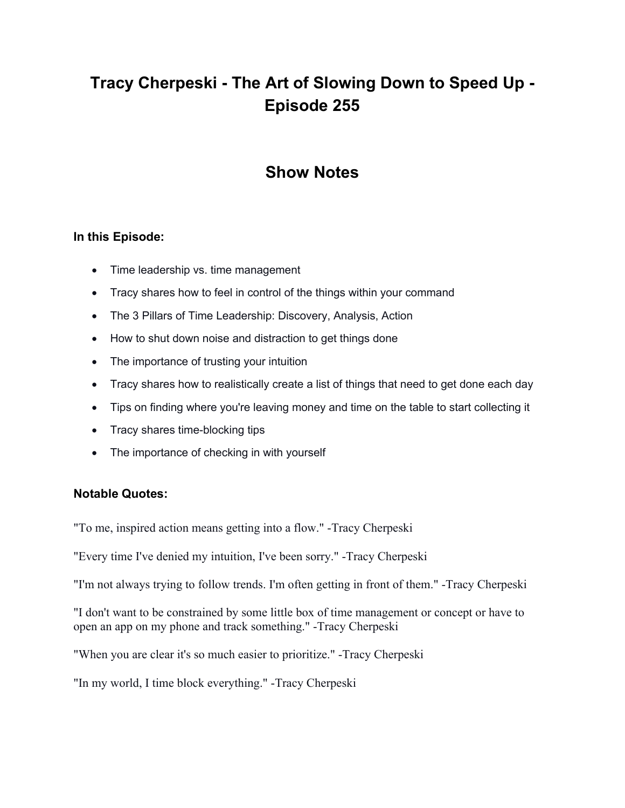# **Tracy Cherpeski - The Art of Slowing Down to Speed Up - Episode 255**

# **Show Notes**

## **In this Episode:**

- Time leadership vs. time management
- Tracy shares how to feel in control of the things within your command
- The 3 Pillars of Time Leadership: Discovery, Analysis, Action
- How to shut down noise and distraction to get things done
- The importance of trusting your intuition
- Tracy shares how to realistically create a list of things that need to get done each day
- Tips on finding where you're leaving money and time on the table to start collecting it
- Tracy shares time-blocking tips
- The importance of checking in with yourself

### **Notable Quotes:**

"To me, inspired action means getting into a flow." -Tracy Cherpeski

"Every time I've denied my intuition, I've been sorry." -Tracy Cherpeski

"I'm not always trying to follow trends. I'm often getting in front of them." -Tracy Cherpeski

"I don't want to be constrained by some little box of time management or concept or have to open an app on my phone and track something." -Tracy Cherpeski

"When you are clear it's so much easier to prioritize." -Tracy Cherpeski

"In my world, I time block everything." -Tracy Cherpeski